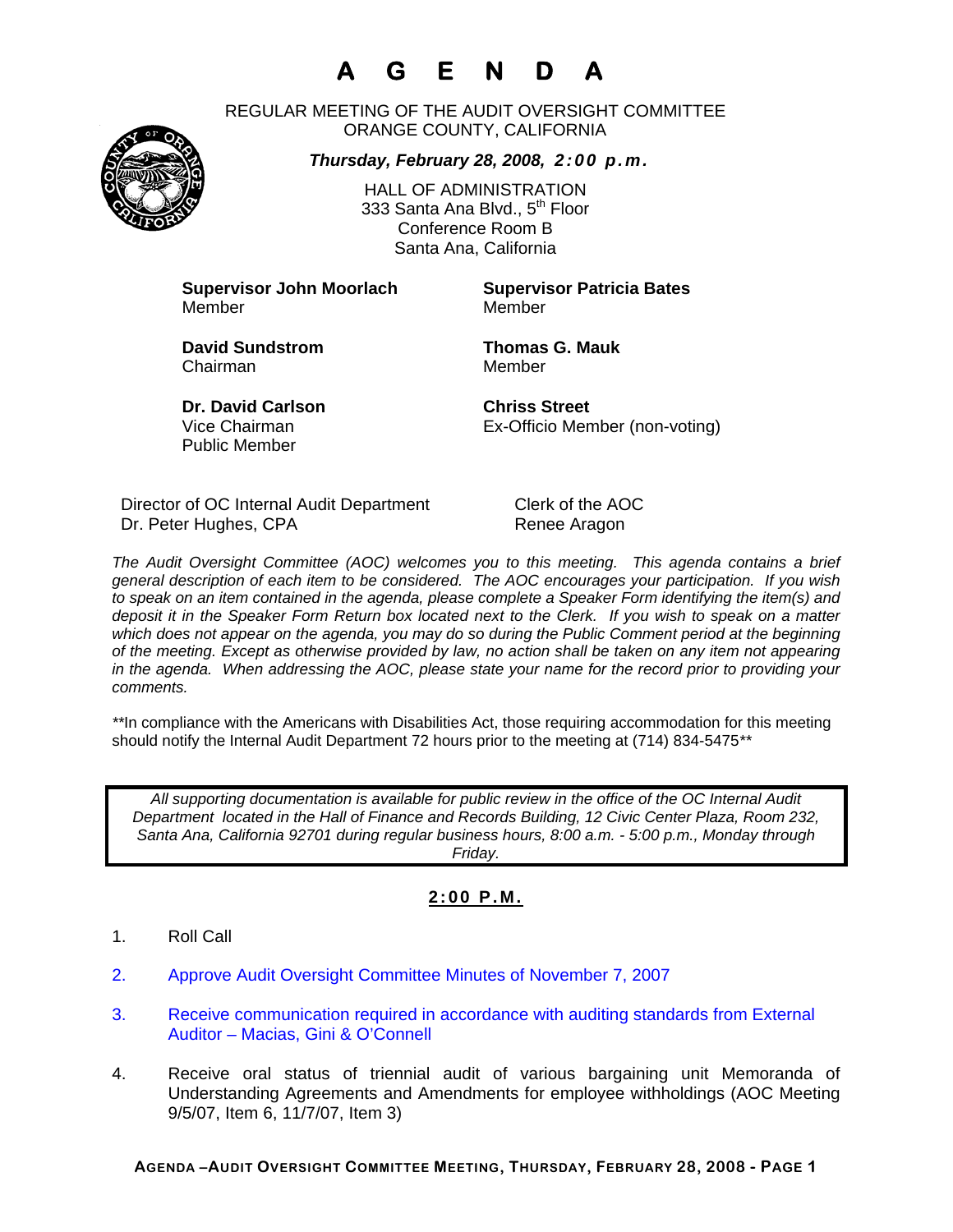# **A G E N D A**

REGULAR MEETING OF THE AUDIT OVERSIGHT COMMITTEE ORANGE COUNTY, CALIFORNIA

*Thursday, February 28, 2008, 2:00 p.m.*



HALL OF ADMINISTRATION 333 Santa Ana Blvd., 5<sup>th</sup> Floor Conference Room B Santa Ana, California

**Supervisor John Moorlach Supervisor Patricia Bates** Member Member

**David Sundstrom Thomas G. Mauk**  Chairman Member

**Dr. David Carlson Chriss Street** Public Member

Vice Chairman Ex-Officio Member (non-voting)

Director of OC Internal Audit Department Clerk of the AOC Dr. Peter Hughes, CPA Renee Aragon

*The Audit Oversight Committee (AOC) welcomes you to this meeting. This agenda contains a brief general description of each item to be considered. The AOC encourages your participation. If you wish to speak on an item contained in the agenda, please complete a Speaker Form identifying the item(s) and deposit it in the Speaker Form Return box located next to the Clerk. If you wish to speak on a matter which does not appear on the agenda, you may do so during the Public Comment period at the beginning of the meeting. Except as otherwise provided by law, no action shall be taken on any item not appearing in the agenda. When addressing the AOC, please state your name for the record prior to providing your comments.* 

*\*\**In compliance with the Americans with Disabilities Act, those requiring accommodation for this meeting should notify the Internal Audit Department 72 hours prior to the meeting at (714) 834-5475*\*\** 

*All supporting documentation is available for public review in the office of the OC Internal Audit Department located in the Hall of Finance and Records Building, 12 Civic Center Plaza, Room 232, Santa Ana, California 92701 during regular business hours, 8:00 a.m. - 5:00 p.m., Monday through Friday.* 

### **2:00 P.M.**

- 1. Roll Call
- 2. Approve Audit Oversight Committee Minutes of November 7, 2007
- 3. Receive communication required in accordance with auditing standards from External Auditor – Macias, Gini & O'Connell
- 4. Receive oral status of triennial audit of various bargaining unit Memoranda of Understanding Agreements and Amendments for employee withholdings (AOC Meeting 9/5/07, Item 6, 11/7/07, Item 3)